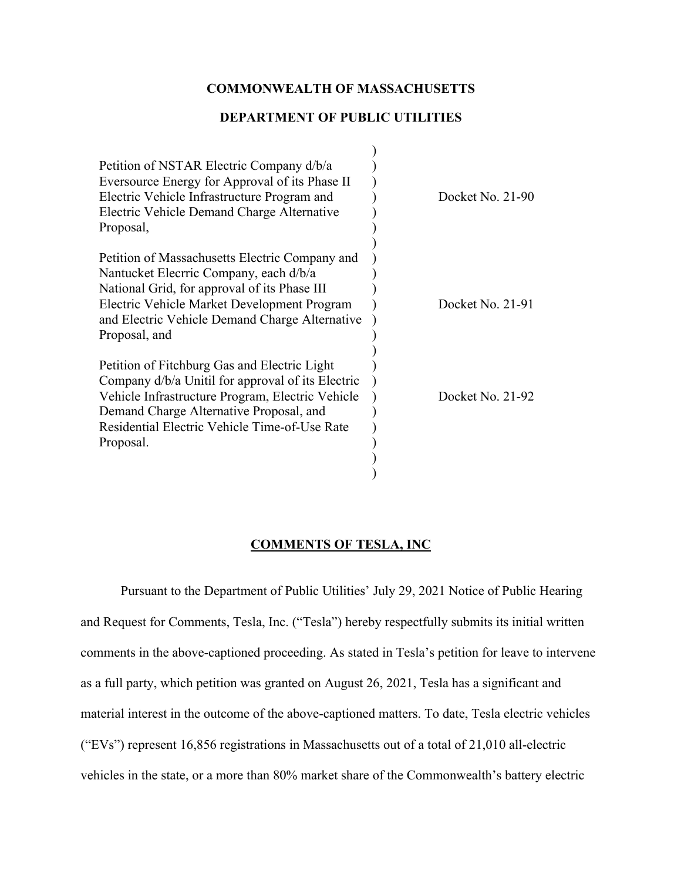## **COMMONWEALTH OF MASSACHUSETTS**

### **DEPARTMENT OF PUBLIC UTILITIES**

| Petition of NSTAR Electric Company d/b/a<br>Eversource Energy for Approval of its Phase II<br>Electric Vehicle Infrastructure Program and<br>Electric Vehicle Demand Charge Alternative<br>Proposal,                                                           | Docket No. $21-90$ |
|----------------------------------------------------------------------------------------------------------------------------------------------------------------------------------------------------------------------------------------------------------------|--------------------|
| Petition of Massachusetts Electric Company and<br>Nantucket Elecrric Company, each d/b/a<br>National Grid, for approval of its Phase III<br>Electric Vehicle Market Development Program<br>and Electric Vehicle Demand Charge Alternative<br>Proposal, and     | Docket No. $21-91$ |
| Petition of Fitchburg Gas and Electric Light<br>Company d/b/a Unitil for approval of its Electric<br>Vehicle Infrastructure Program, Electric Vehicle<br>Demand Charge Alternative Proposal, and<br>Residential Electric Vehicle Time-of-Use Rate<br>Proposal. | Docket No. 21-92   |

## **COMMENTS OF TESLA, INC**

Pursuant to the Department of Public Utilities' July 29, 2021 Notice of Public Hearing and Request for Comments, Tesla, Inc. ("Tesla") hereby respectfully submits its initial written comments in the above-captioned proceeding. As stated in Tesla's petition for leave to intervene as a full party, which petition was granted on August 26, 2021, Tesla has a significant and material interest in the outcome of the above-captioned matters. To date, Tesla electric vehicles ("EVs") represent 16,856 registrations in Massachusetts out of a total of 21,010 all-electric vehicles in the state, or a more than 80% market share of the Commonwealth's battery electric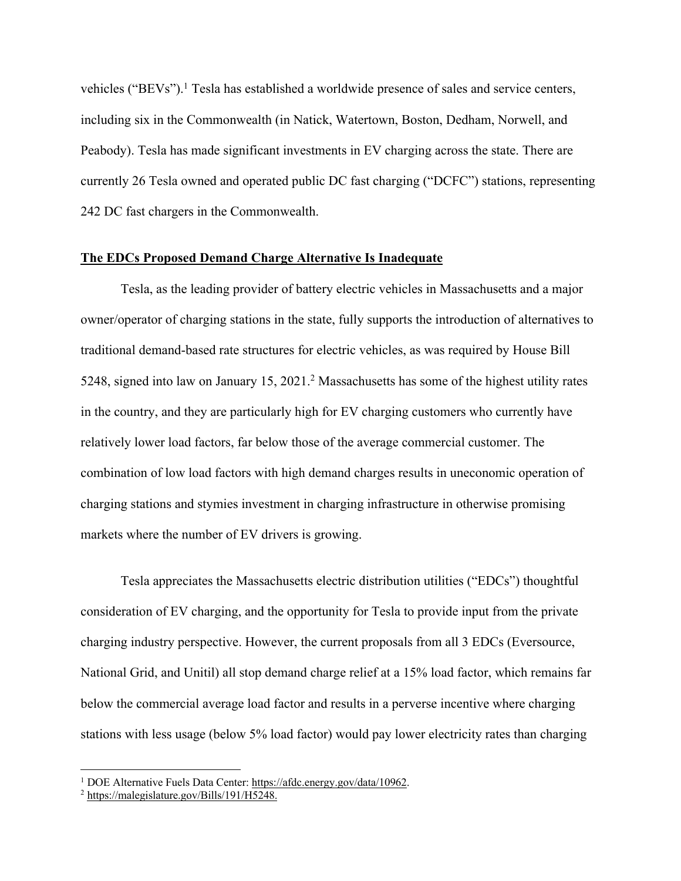vehicles ("BEVs").<sup>1</sup> Tesla has established a worldwide presence of sales and service centers, including six in the Commonwealth (in Natick, Watertown, Boston, Dedham, Norwell, and Peabody). Tesla has made significant investments in EV charging across the state. There are currently 26 Tesla owned and operated public DC fast charging ("DCFC") stations, representing 242 DC fast chargers in the Commonwealth.

#### **The EDCs Proposed Demand Charge Alternative Is Inadequate**

Tesla, as the leading provider of battery electric vehicles in Massachusetts and a major owner/operator of charging stations in the state, fully supports the introduction of alternatives to traditional demand-based rate structures for electric vehicles, as was required by House Bill 5248, signed into law on January 15, 2021.2 Massachusetts has some of the highest utility rates in the country, and they are particularly high for EV charging customers who currently have relatively lower load factors, far below those of the average commercial customer. The combination of low load factors with high demand charges results in uneconomic operation of charging stations and stymies investment in charging infrastructure in otherwise promising markets where the number of EV drivers is growing.

Tesla appreciates the Massachusetts electric distribution utilities ("EDCs") thoughtful consideration of EV charging, and the opportunity for Tesla to provide input from the private charging industry perspective. However, the current proposals from all 3 EDCs (Eversource, National Grid, and Unitil) all stop demand charge relief at a 15% load factor, which remains far below the commercial average load factor and results in a perverse incentive where charging stations with less usage (below 5% load factor) would pay lower electricity rates than charging

<sup>&</sup>lt;sup>1</sup> DOE Alternative Fuels Data Center: https://afdc.energy.gov/data/10962.

<sup>2</sup> https://malegislature.gov/Bills/191/H5248.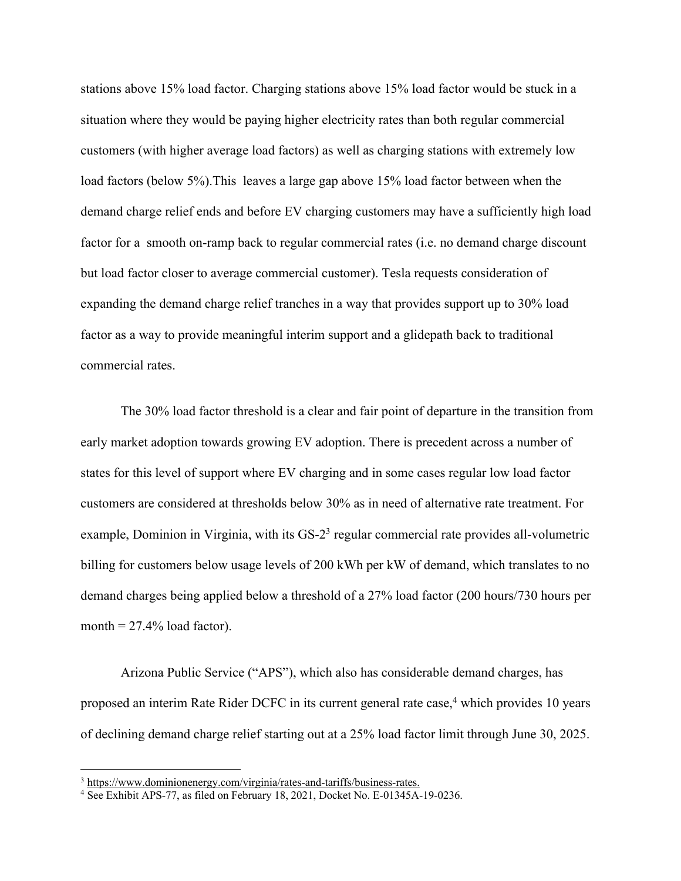stations above 15% load factor. Charging stations above 15% load factor would be stuck in a situation where they would be paying higher electricity rates than both regular commercial customers (with higher average load factors) as well as charging stations with extremely low load factors (below 5%).This leaves a large gap above 15% load factor between when the demand charge relief ends and before EV charging customers may have a sufficiently high load factor for a smooth on-ramp back to regular commercial rates (i.e. no demand charge discount but load factor closer to average commercial customer). Tesla requests consideration of expanding the demand charge relief tranches in a way that provides support up to 30% load factor as a way to provide meaningful interim support and a glidepath back to traditional commercial rates.

The 30% load factor threshold is a clear and fair point of departure in the transition from early market adoption towards growing EV adoption. There is precedent across a number of states for this level of support where EV charging and in some cases regular low load factor customers are considered at thresholds below 30% as in need of alternative rate treatment. For example, Dominion in Virginia, with its GS-2<sup>3</sup> regular commercial rate provides all-volumetric billing for customers below usage levels of 200 kWh per kW of demand, which translates to no demand charges being applied below a threshold of a 27% load factor (200 hours/730 hours per month  $= 27.4\%$  load factor).

Arizona Public Service ("APS"), which also has considerable demand charges, has proposed an interim Rate Rider DCFC in its current general rate case, <sup>4</sup> which provides 10 years of declining demand charge relief starting out at a 25% load factor limit through June 30, 2025.

<sup>&</sup>lt;sup>3</sup> https://www.dominionenergy.com/virginia/rates-and-tariffs/business-rates.

<sup>4</sup> See Exhibit APS-77, as filed on February 18, 2021, Docket No. E-01345A-19-0236.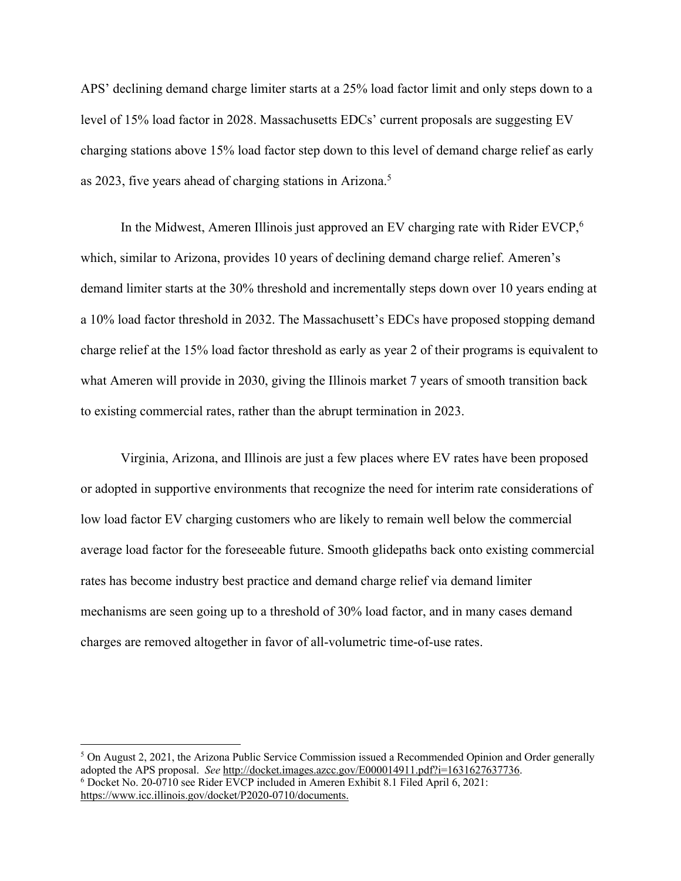APS' declining demand charge limiter starts at a 25% load factor limit and only steps down to a level of 15% load factor in 2028. Massachusetts EDCs' current proposals are suggesting EV charging stations above 15% load factor step down to this level of demand charge relief as early as 2023, five years ahead of charging stations in Arizona.5

In the Midwest, Ameren Illinois just approved an EV charging rate with Rider EVCP,<sup>6</sup> which, similar to Arizona, provides 10 years of declining demand charge relief. Ameren's demand limiter starts at the 30% threshold and incrementally steps down over 10 years ending at a 10% load factor threshold in 2032. The Massachusett's EDCs have proposed stopping demand charge relief at the 15% load factor threshold as early as year 2 of their programs is equivalent to what Ameren will provide in 2030, giving the Illinois market 7 years of smooth transition back to existing commercial rates, rather than the abrupt termination in 2023.

Virginia, Arizona, and Illinois are just a few places where EV rates have been proposed or adopted in supportive environments that recognize the need for interim rate considerations of low load factor EV charging customers who are likely to remain well below the commercial average load factor for the foreseeable future. Smooth glidepaths back onto existing commercial rates has become industry best practice and demand charge relief via demand limiter mechanisms are seen going up to a threshold of 30% load factor, and in many cases demand charges are removed altogether in favor of all-volumetric time-of-use rates.

 $5$  On August 2, 2021, the Arizona Public Service Commission issued a Recommended Opinion and Order generally adopted the APS proposal. *See* http://docket.images.azcc.gov/E000014911.pdf?i=1631627637736. <sup>6</sup> Docket No. 20-0710 see Rider EVCP included in Ameren Exhibit 8.1 Filed April 6, 2021: https://www.icc.illinois.gov/docket/P2020-0710/documents.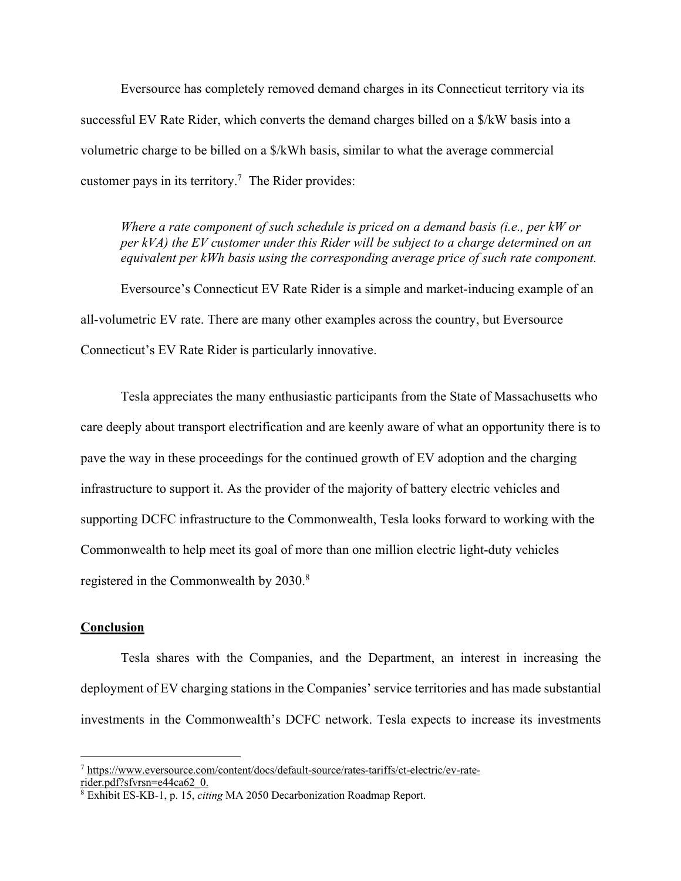Eversource has completely removed demand charges in its Connecticut territory via its successful EV Rate Rider, which converts the demand charges billed on a \$/kW basis into a volumetric charge to be billed on a \$/kWh basis, similar to what the average commercial customer pays in its territory.<sup>7</sup> The Rider provides:

*Where a rate component of such schedule is priced on a demand basis (i.e., per kW or per kVA) the EV customer under this Rider will be subject to a charge determined on an equivalent per kWh basis using the corresponding average price of such rate component.*

Eversource's Connecticut EV Rate Rider is a simple and market-inducing example of an all-volumetric EV rate. There are many other examples across the country, but Eversource Connecticut's EV Rate Rider is particularly innovative.

Tesla appreciates the many enthusiastic participants from the State of Massachusetts who care deeply about transport electrification and are keenly aware of what an opportunity there is to pave the way in these proceedings for the continued growth of EV adoption and the charging infrastructure to support it. As the provider of the majority of battery electric vehicles and supporting DCFC infrastructure to the Commonwealth, Tesla looks forward to working with the Commonwealth to help meet its goal of more than one million electric light-duty vehicles registered in the Commonwealth by 2030.<sup>8</sup>

#### **Conclusion**

Tesla shares with the Companies, and the Department, an interest in increasing the deployment of EV charging stations in the Companies' service territories and has made substantial investments in the Commonwealth's DCFC network. Tesla expects to increase its investments

<sup>7</sup> https://www.eversource.com/content/docs/default-source/rates-tariffs/ct-electric/ev-raterider.pdf?sfvrsn=e44ca62\_0.

<sup>8</sup> Exhibit ES-KB-1, p. 15, *citing* MA 2050 Decarbonization Roadmap Report.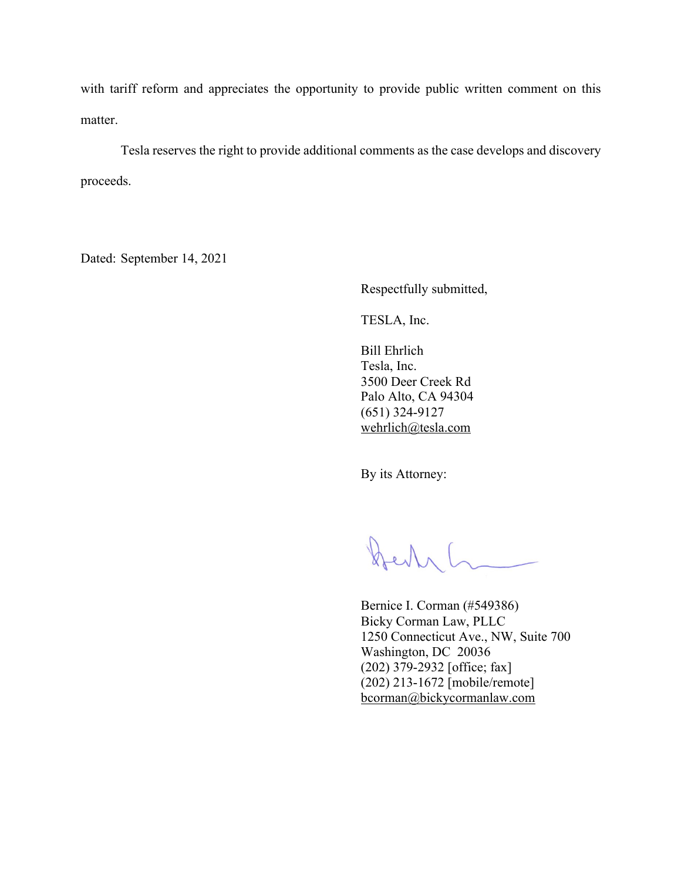with tariff reform and appreciates the opportunity to provide public written comment on this matter.

Tesla reserves the right to provide additional comments as the case develops and discovery proceeds.

Dated: September 14, 2021

Respectfully submitted,

TESLA, Inc.

Bill Ehrlich Tesla, Inc. 3500 Deer Creek Rd Palo Alto, CA 94304 (651) 324-9127 wehrlich@tesla.com

By its Attorney:

Den L

Bernice I. Corman (#549386) Bicky Corman Law, PLLC 1250 Connecticut Ave., NW, Suite 700 Washington, DC 20036 (202) 379-2932 [office; fax] (202) 213-1672 [mobile/remote] bcorman@bickycormanlaw.com